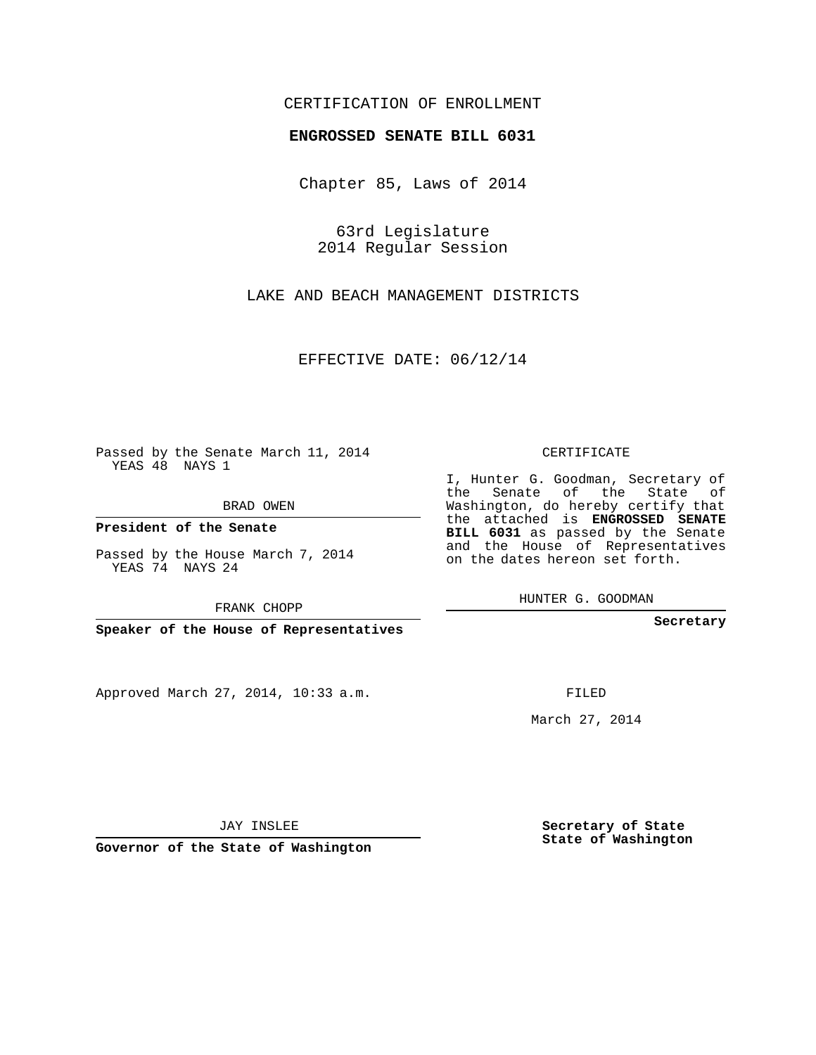## CERTIFICATION OF ENROLLMENT

### **ENGROSSED SENATE BILL 6031**

Chapter 85, Laws of 2014

63rd Legislature 2014 Regular Session

LAKE AND BEACH MANAGEMENT DISTRICTS

EFFECTIVE DATE: 06/12/14

 $\sim 10^{11}$ 

Passed by the Senate March 11, 2014 YEAS 48 NAYS 1

BRAD OWEN

**President of the Senate**

Passed by the House March 7, 2014 YEAS 74 NAYS 24

FRANK CHOPP

**Speaker of the House of Representatives**

Approved March 27, 2014, 10:33 a.m.

CERTIFICATE

I, Hunter G. Goodman, Secretary of the Senate of the State of Washington, do hereby certify that the attached is **ENGROSSED SENATE BILL 6031** as passed by the Senate and the House of Representatives on the dates hereon set forth.

HUNTER G. GOODMAN

**Secretary**

FILED

March 27, 2014

**Secretary of State State of Washington**

JAY INSLEE

**Governor of the State of Washington**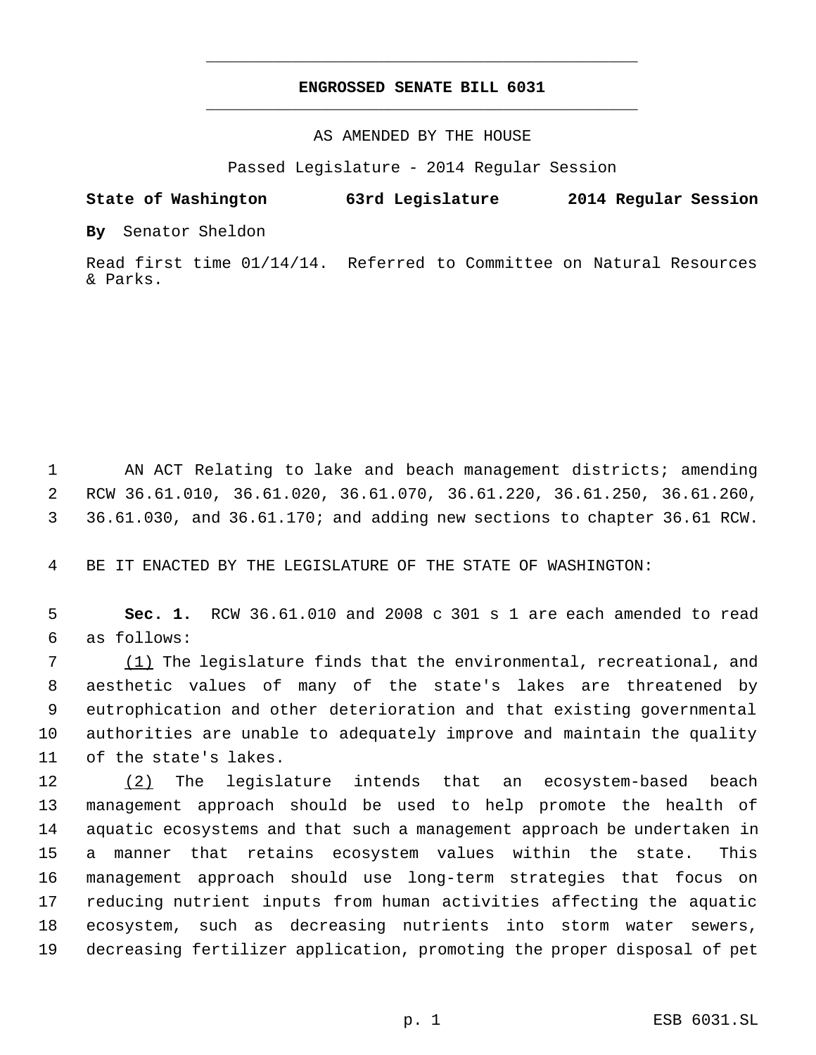# **ENGROSSED SENATE BILL 6031** \_\_\_\_\_\_\_\_\_\_\_\_\_\_\_\_\_\_\_\_\_\_\_\_\_\_\_\_\_\_\_\_\_\_\_\_\_\_\_\_\_\_\_\_\_

\_\_\_\_\_\_\_\_\_\_\_\_\_\_\_\_\_\_\_\_\_\_\_\_\_\_\_\_\_\_\_\_\_\_\_\_\_\_\_\_\_\_\_\_\_

### AS AMENDED BY THE HOUSE

Passed Legislature - 2014 Regular Session

### **State of Washington 63rd Legislature 2014 Regular Session**

**By** Senator Sheldon

Read first time 01/14/14. Referred to Committee on Natural Resources & Parks.

 1 AN ACT Relating to lake and beach management districts; amending 2 RCW 36.61.010, 36.61.020, 36.61.070, 36.61.220, 36.61.250, 36.61.260, 3 36.61.030, and 36.61.170; and adding new sections to chapter 36.61 RCW.

4 BE IT ENACTED BY THE LEGISLATURE OF THE STATE OF WASHINGTON:

 5 **Sec. 1.** RCW 36.61.010 and 2008 c 301 s 1 are each amended to read 6 as follows:

7 (1) The legislature finds that the environmental, recreational, and aesthetic values of many of the state's lakes are threatened by eutrophication and other deterioration and that existing governmental authorities are unable to adequately improve and maintain the quality of the state's lakes.

12 (2) The legislature intends that an ecosystem-based beach management approach should be used to help promote the health of aquatic ecosystems and that such a management approach be undertaken in a manner that retains ecosystem values within the state. This management approach should use long-term strategies that focus on reducing nutrient inputs from human activities affecting the aquatic ecosystem, such as decreasing nutrients into storm water sewers, decreasing fertilizer application, promoting the proper disposal of pet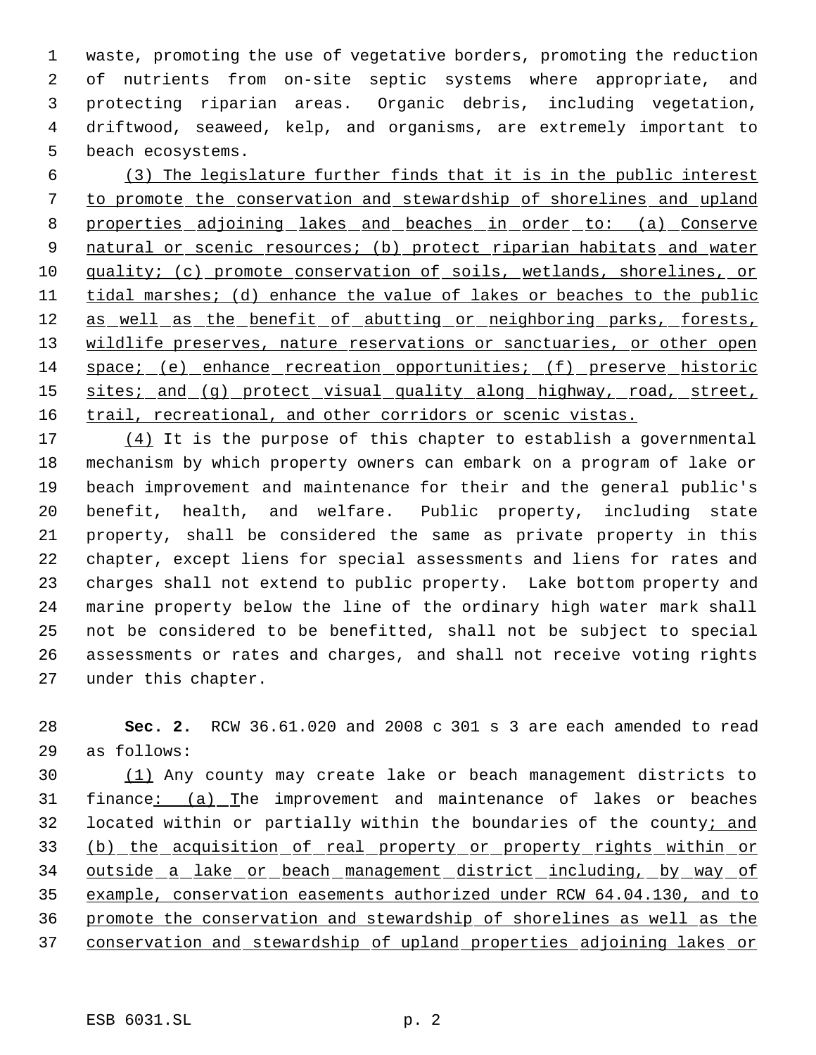waste, promoting the use of vegetative borders, promoting the reduction of nutrients from on-site septic systems where appropriate, and protecting riparian areas. Organic debris, including vegetation, driftwood, seaweed, kelp, and organisms, are extremely important to beach ecosystems.

 (3) The legislature further finds that it is in the public interest to promote the conservation and stewardship of shorelines and upland 8 properties adjoining lakes and beaches in order to: (a) Conserve 9 natural or scenic resources; (b) protect riparian habitats and water quality; (c) promote conservation of soils, wetlands, shorelines, or 11 tidal marshes; (d) enhance the value of lakes or beaches to the public 12 as well as the benefit of abutting or neighboring parks, forests, 13 wildlife preserves, nature reservations or sanctuaries, or other open space; (e) enhance recreation opportunities; (f) preserve historic 15 sites; and (g) protect visual quality along highway, road, street, 16 trail, recreational, and other corridors or scenic vistas.

17 (4) It is the purpose of this chapter to establish a governmental mechanism by which property owners can embark on a program of lake or beach improvement and maintenance for their and the general public's benefit, health, and welfare. Public property, including state property, shall be considered the same as private property in this chapter, except liens for special assessments and liens for rates and charges shall not extend to public property. Lake bottom property and marine property below the line of the ordinary high water mark shall not be considered to be benefitted, shall not be subject to special assessments or rates and charges, and shall not receive voting rights under this chapter.

 **Sec. 2.** RCW 36.61.020 and 2008 c 301 s 3 are each amended to read as follows:

 (1) Any county may create lake or beach management districts to finance: (a) The improvement and maintenance of lakes or beaches 32 located within or partially within the boundaries of the county; and 33 (b) the acquisition of real property or property rights within or outside a lake or beach management district including, by way of example, conservation easements authorized under RCW 64.04.130, and to promote the conservation and stewardship of shorelines as well as the conservation and stewardship of upland properties adjoining lakes or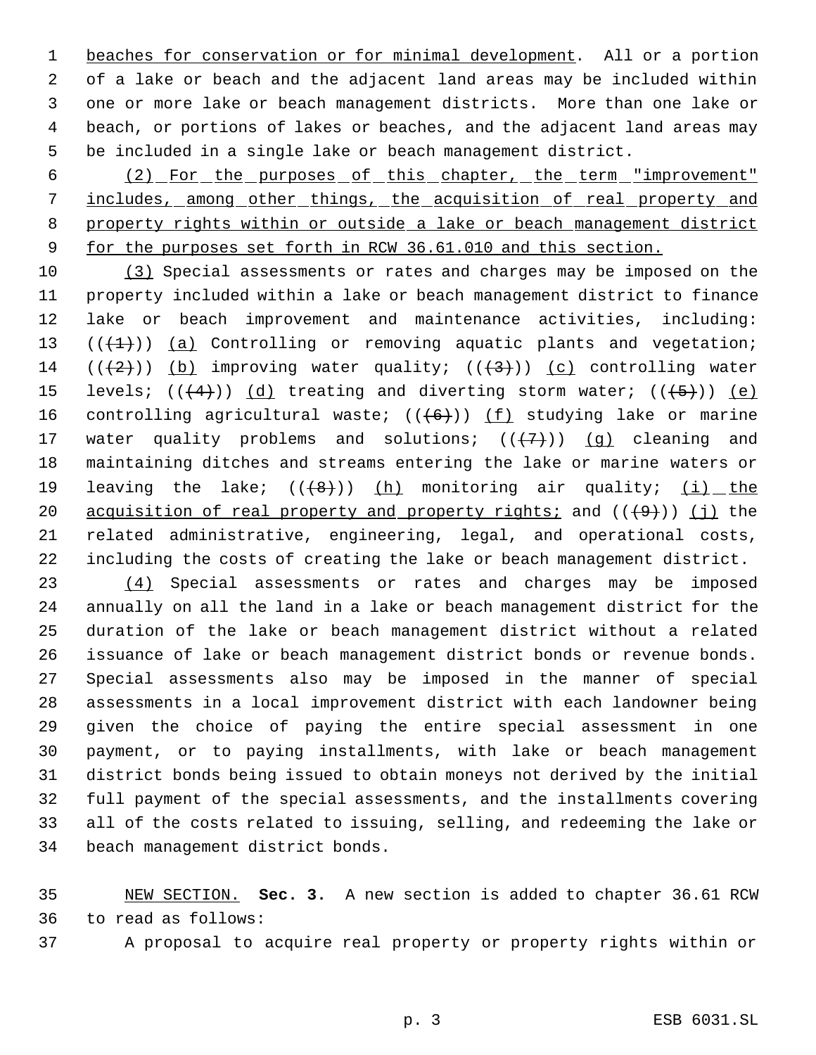beaches for conservation or for minimal development. All or a portion of a lake or beach and the adjacent land areas may be included within one or more lake or beach management districts. More than one lake or beach, or portions of lakes or beaches, and the adjacent land areas may be included in a single lake or beach management district.

 (2) For the purposes of this chapter, the term "improvement" 7 includes, among other things, the acquisition of real property and property rights within or outside a lake or beach management district 9 for the purposes set forth in RCW 36.61.010 and this section.

 (3) Special assessments or rates and charges may be imposed on the property included within a lake or beach management district to finance lake or beach improvement and maintenance activities, including:  $((+1))$   $(a)$  Controlling or removing aquatic plants and vegetation;  $((+2)^{n})$  (b) improving water quality;  $((+3)^{n})$  (c) controlling water 15 levels;  $((+4))$   $(d)$  treating and diverting storm water;  $((+5))$   $(e)$ 16 controlling agricultural waste;  $((+6))$  (f) studying lake or marine 17 water quality problems and solutions;  $((+7+))$  (q) cleaning and maintaining ditches and streams entering the lake or marine waters or 19 leaving the lake;  $((+8))$  (h) monitoring air quality;  $(i)$  the 20 acquisition of real property and property rights; and  $((+9))$  (j) the related administrative, engineering, legal, and operational costs, including the costs of creating the lake or beach management district.

 (4) Special assessments or rates and charges may be imposed annually on all the land in a lake or beach management district for the duration of the lake or beach management district without a related issuance of lake or beach management district bonds or revenue bonds. Special assessments also may be imposed in the manner of special assessments in a local improvement district with each landowner being given the choice of paying the entire special assessment in one payment, or to paying installments, with lake or beach management district bonds being issued to obtain moneys not derived by the initial full payment of the special assessments, and the installments covering all of the costs related to issuing, selling, and redeeming the lake or beach management district bonds.

 NEW SECTION. **Sec. 3.** A new section is added to chapter 36.61 RCW to read as follows:

- A proposal to acquire real property or property rights within or
	-

p. 3 ESB 6031.SL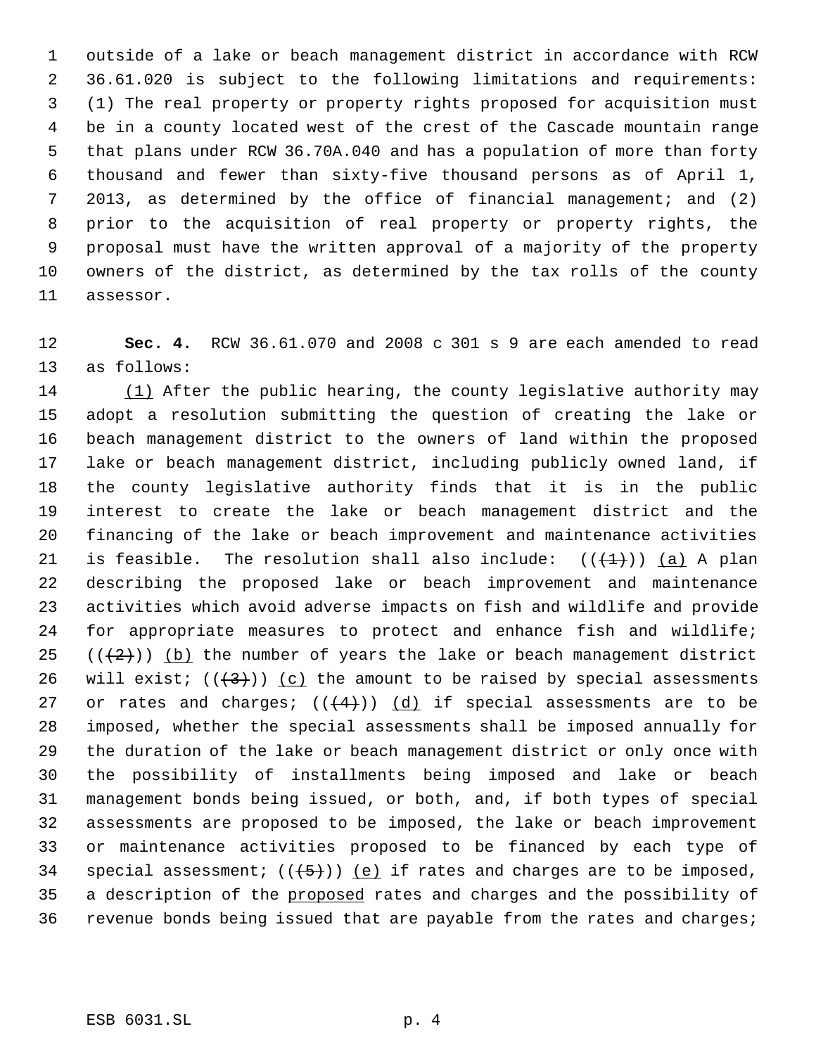outside of a lake or beach management district in accordance with RCW 36.61.020 is subject to the following limitations and requirements: (1) The real property or property rights proposed for acquisition must be in a county located west of the crest of the Cascade mountain range that plans under RCW 36.70A.040 and has a population of more than forty thousand and fewer than sixty-five thousand persons as of April 1, 2013, as determined by the office of financial management; and (2) prior to the acquisition of real property or property rights, the proposal must have the written approval of a majority of the property owners of the district, as determined by the tax rolls of the county assessor.

 **Sec. 4.** RCW 36.61.070 and 2008 c 301 s 9 are each amended to read as follows:

14 (1) After the public hearing, the county legislative authority may adopt a resolution submitting the question of creating the lake or beach management district to the owners of land within the proposed lake or beach management district, including publicly owned land, if the county legislative authority finds that it is in the public interest to create the lake or beach management district and the financing of the lake or beach improvement and maintenance activities 21 is feasible. The resolution shall also include:  $((+1))$  (a) A plan describing the proposed lake or beach improvement and maintenance activities which avoid adverse impacts on fish and wildlife and provide for appropriate measures to protect and enhance fish and wildlife;  $((+2))$  (b) the number of years the lake or beach management district 26 will exist;  $((+3))$  (c) the amount to be raised by special assessments 27 or rates and charges;  $((+4))$   $(d)$  if special assessments are to be imposed, whether the special assessments shall be imposed annually for the duration of the lake or beach management district or only once with the possibility of installments being imposed and lake or beach management bonds being issued, or both, and, if both types of special assessments are proposed to be imposed, the lake or beach improvement or maintenance activities proposed to be financed by each type of 34 special assessment;  $((+5))$  (e) if rates and charges are to be imposed, 35 a description of the proposed rates and charges and the possibility of revenue bonds being issued that are payable from the rates and charges;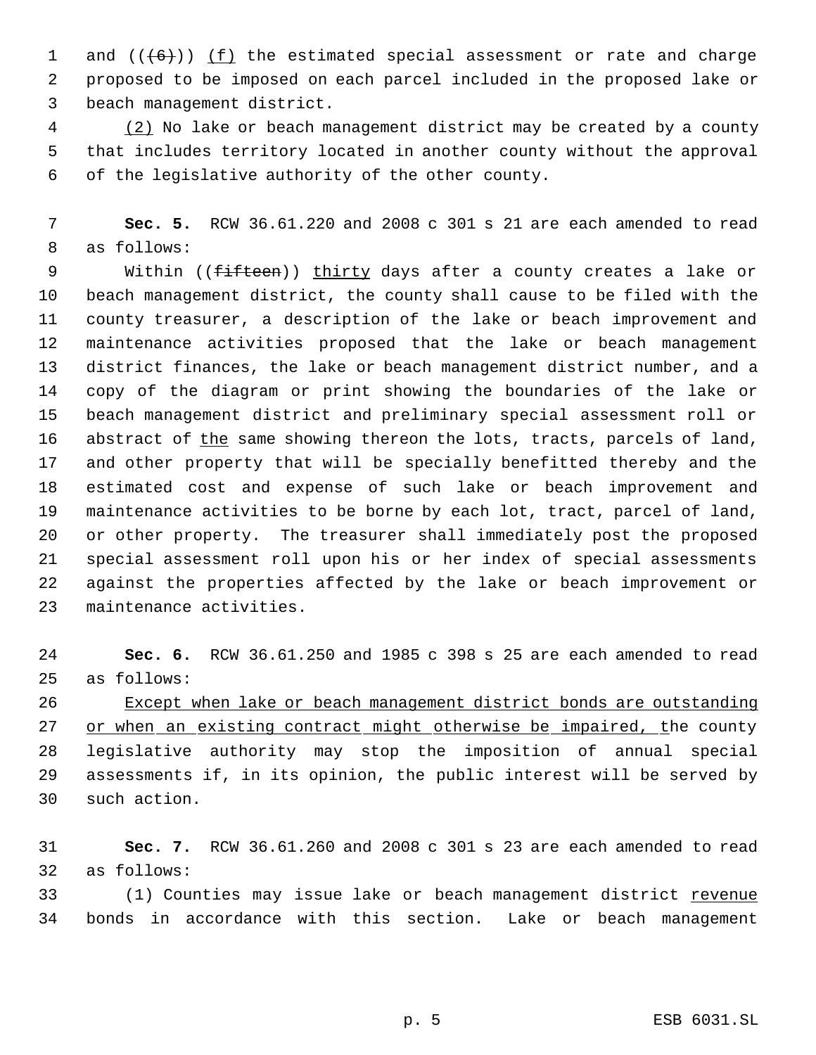1 and  $((+6))$  <u>(f)</u> the estimated special assessment or rate and charge proposed to be imposed on each parcel included in the proposed lake or beach management district.

4 (2) No lake or beach management district may be created by a county that includes territory located in another county without the approval of the legislative authority of the other county.

 **Sec. 5.** RCW 36.61.220 and 2008 c 301 s 21 are each amended to read as follows:

9 Within ((fifteen)) thirty days after a county creates a lake or beach management district, the county shall cause to be filed with the county treasurer, a description of the lake or beach improvement and maintenance activities proposed that the lake or beach management district finances, the lake or beach management district number, and a copy of the diagram or print showing the boundaries of the lake or beach management district and preliminary special assessment roll or 16 abstract of the same showing thereon the lots, tracts, parcels of land, and other property that will be specially benefitted thereby and the estimated cost and expense of such lake or beach improvement and maintenance activities to be borne by each lot, tract, parcel of land, or other property. The treasurer shall immediately post the proposed special assessment roll upon his or her index of special assessments against the properties affected by the lake or beach improvement or maintenance activities.

 **Sec. 6.** RCW 36.61.250 and 1985 c 398 s 25 are each amended to read as follows:

 Except when lake or beach management district bonds are outstanding 27 or when an existing contract might otherwise be impaired, the county legislative authority may stop the imposition of annual special assessments if, in its opinion, the public interest will be served by such action.

 **Sec. 7.** RCW 36.61.260 and 2008 c 301 s 23 are each amended to read as follows:

33 (1) Counties may issue lake or beach management district revenue bonds in accordance with this section. Lake or beach management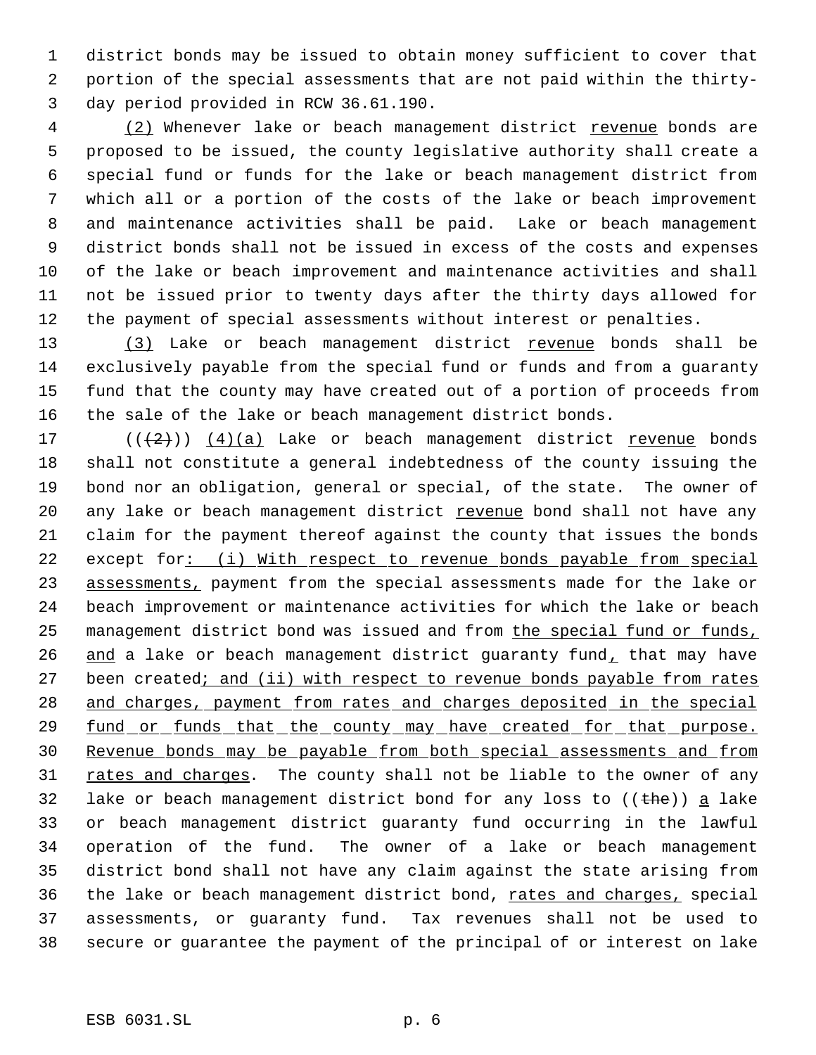district bonds may be issued to obtain money sufficient to cover that portion of the special assessments that are not paid within the thirty- day period provided in RCW 36.61.190.

4 (2) Whenever lake or beach management district revenue bonds are proposed to be issued, the county legislative authority shall create a special fund or funds for the lake or beach management district from which all or a portion of the costs of the lake or beach improvement and maintenance activities shall be paid. Lake or beach management district bonds shall not be issued in excess of the costs and expenses of the lake or beach improvement and maintenance activities and shall not be issued prior to twenty days after the thirty days allowed for the payment of special assessments without interest or penalties.

13 (3) Lake or beach management district revenue bonds shall be exclusively payable from the special fund or funds and from a guaranty fund that the county may have created out of a portion of proceeds from the sale of the lake or beach management district bonds.

17  $((+2))$   $(4)(a)$  Lake or beach management district revenue bonds shall not constitute a general indebtedness of the county issuing the bond nor an obligation, general or special, of the state. The owner of 20 any lake or beach management district revenue bond shall not have any claim for the payment thereof against the county that issues the bonds 22 except for: (i) With respect to revenue bonds payable from special 23 assessments, payment from the special assessments made for the lake or beach improvement or maintenance activities for which the lake or beach management district bond was issued and from the special fund or funds, 26 and a lake or beach management district guaranty fund, that may have 27 been created; and (ii) with respect to revenue bonds payable from rates 28 and charges, payment from rates and charges deposited in the special 29 fund or funds that the county may have created for that purpose. Revenue bonds may be payable from both special assessments and from 31 rates and charges. The county shall not be liable to the owner of any 32 lake or beach management district bond for any loss to  $((the h e))$  a lake or beach management district guaranty fund occurring in the lawful operation of the fund. The owner of a lake or beach management district bond shall not have any claim against the state arising from 36 the lake or beach management district bond, rates and charges, special assessments, or guaranty fund. Tax revenues shall not be used to secure or guarantee the payment of the principal of or interest on lake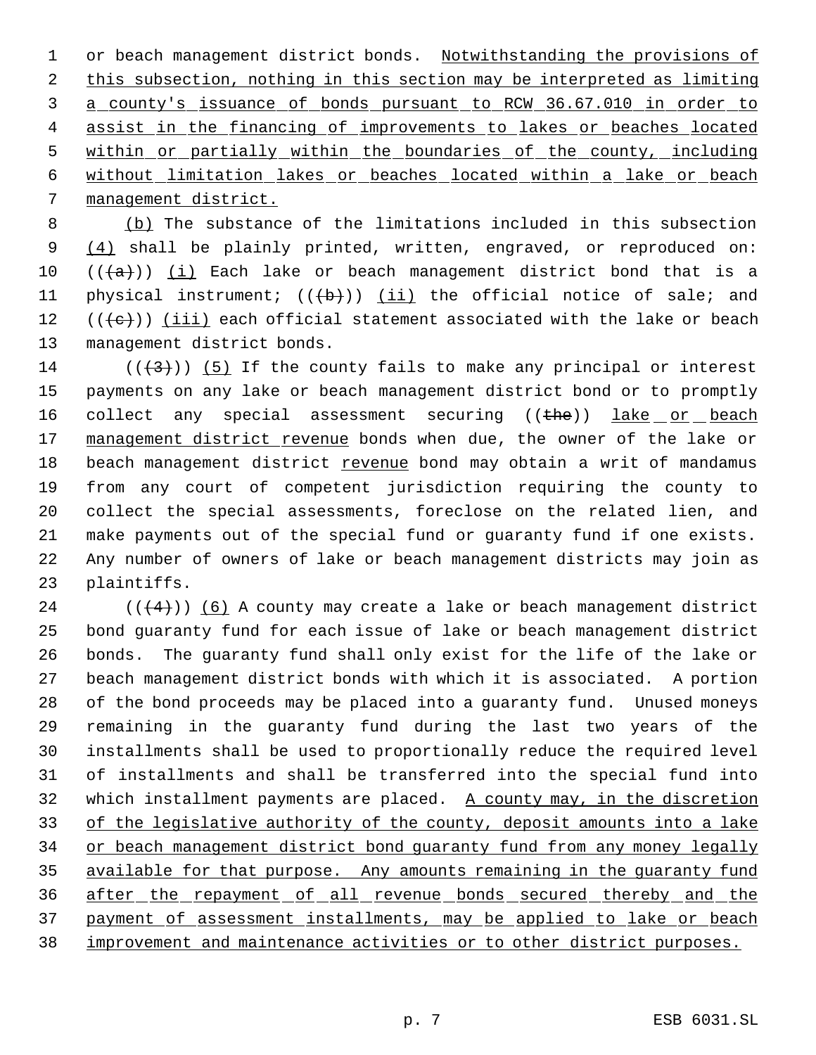1 or beach management district bonds. Notwithstanding the provisions of this subsection, nothing in this section may be interpreted as limiting a county's issuance of bonds pursuant to RCW 36.67.010 in order to 4 assist in the financing of improvements to lakes or beaches located within or partially within the boundaries of the county, including without limitation lakes or beaches located within a lake or beach management district.

 (b) The substance of the limitations included in this subsection 9 (4) shall be plainly printed, written, engraved, or reproduced on:  $((a+))$  (i) Each lake or beach management district bond that is a 11 physical instrument;  $((+b))$   $(ii)$  the official notice of sale; and  $((e))$  (iii) each official statement associated with the lake or beach management district bonds.

14 ( $(\langle 3 \rangle)$ ) (5) If the county fails to make any principal or interest payments on any lake or beach management district bond or to promptly 16 collect any special assessment securing ((the)) lake or beach 17 management district revenue bonds when due, the owner of the lake or 18 beach management district revenue bond may obtain a writ of mandamus from any court of competent jurisdiction requiring the county to collect the special assessments, foreclose on the related lien, and make payments out of the special fund or guaranty fund if one exists. Any number of owners of lake or beach management districts may join as plaintiffs.

 (( $(4)$ )) (6) A county may create a lake or beach management district bond guaranty fund for each issue of lake or beach management district bonds. The guaranty fund shall only exist for the life of the lake or beach management district bonds with which it is associated. A portion of the bond proceeds may be placed into a guaranty fund. Unused moneys remaining in the guaranty fund during the last two years of the installments shall be used to proportionally reduce the required level of installments and shall be transferred into the special fund into 32 which installment payments are placed. A county may, in the discretion 33 of the legislative authority of the county, deposit amounts into a lake 34 or beach management district bond quaranty fund from any money legally 35 available for that purpose. Any amounts remaining in the guaranty fund after the repayment of all revenue bonds secured thereby and the payment of assessment installments, may be applied to lake or beach improvement and maintenance activities or to other district purposes.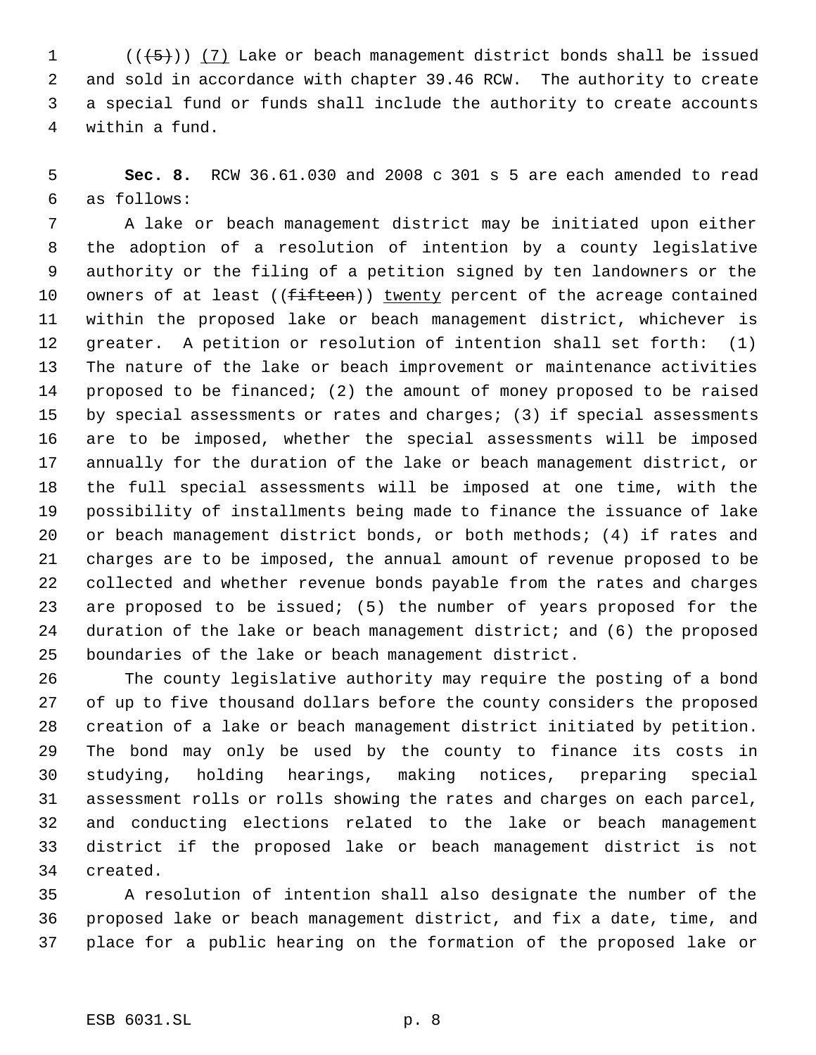$((+5))$   $(7)$  Lake or beach management district bonds shall be issued and sold in accordance with chapter 39.46 RCW. The authority to create a special fund or funds shall include the authority to create accounts within a fund.

 **Sec. 8.** RCW 36.61.030 and 2008 c 301 s 5 are each amended to read as follows:

 A lake or beach management district may be initiated upon either the adoption of a resolution of intention by a county legislative authority or the filing of a petition signed by ten landowners or the 10 owners of at least ((fifteen)) twenty percent of the acreage contained within the proposed lake or beach management district, whichever is greater. A petition or resolution of intention shall set forth: (1) The nature of the lake or beach improvement or maintenance activities proposed to be financed; (2) the amount of money proposed to be raised 15 by special assessments or rates and charges; (3) if special assessments are to be imposed, whether the special assessments will be imposed annually for the duration of the lake or beach management district, or the full special assessments will be imposed at one time, with the possibility of installments being made to finance the issuance of lake or beach management district bonds, or both methods; (4) if rates and charges are to be imposed, the annual amount of revenue proposed to be collected and whether revenue bonds payable from the rates and charges are proposed to be issued; (5) the number of years proposed for the duration of the lake or beach management district; and (6) the proposed boundaries of the lake or beach management district.

 The county legislative authority may require the posting of a bond of up to five thousand dollars before the county considers the proposed creation of a lake or beach management district initiated by petition. The bond may only be used by the county to finance its costs in studying, holding hearings, making notices, preparing special assessment rolls or rolls showing the rates and charges on each parcel, and conducting elections related to the lake or beach management district if the proposed lake or beach management district is not created.

 A resolution of intention shall also designate the number of the proposed lake or beach management district, and fix a date, time, and place for a public hearing on the formation of the proposed lake or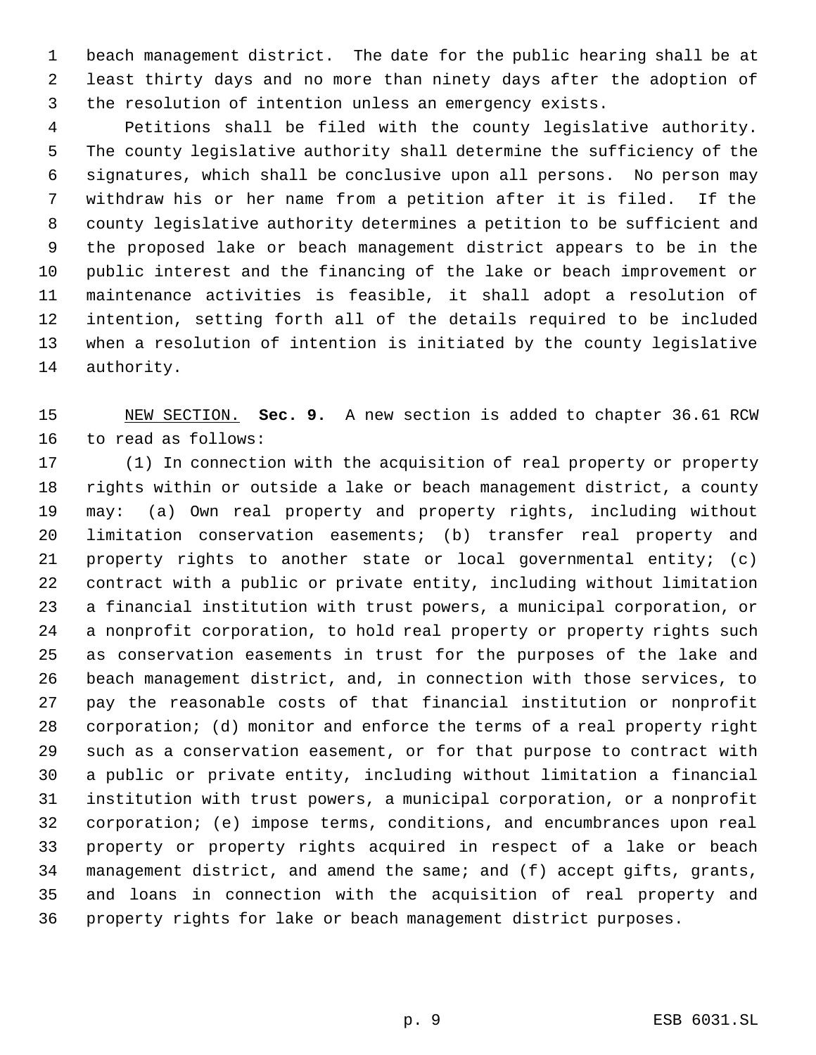beach management district. The date for the public hearing shall be at least thirty days and no more than ninety days after the adoption of the resolution of intention unless an emergency exists.

 Petitions shall be filed with the county legislative authority. The county legislative authority shall determine the sufficiency of the signatures, which shall be conclusive upon all persons. No person may withdraw his or her name from a petition after it is filed. If the county legislative authority determines a petition to be sufficient and the proposed lake or beach management district appears to be in the public interest and the financing of the lake or beach improvement or maintenance activities is feasible, it shall adopt a resolution of intention, setting forth all of the details required to be included when a resolution of intention is initiated by the county legislative authority.

 NEW SECTION. **Sec. 9.** A new section is added to chapter 36.61 RCW to read as follows:

 (1) In connection with the acquisition of real property or property rights within or outside a lake or beach management district, a county may: (a) Own real property and property rights, including without limitation conservation easements; (b) transfer real property and property rights to another state or local governmental entity; (c) contract with a public or private entity, including without limitation a financial institution with trust powers, a municipal corporation, or a nonprofit corporation, to hold real property or property rights such as conservation easements in trust for the purposes of the lake and beach management district, and, in connection with those services, to pay the reasonable costs of that financial institution or nonprofit corporation; (d) monitor and enforce the terms of a real property right such as a conservation easement, or for that purpose to contract with a public or private entity, including without limitation a financial institution with trust powers, a municipal corporation, or a nonprofit corporation; (e) impose terms, conditions, and encumbrances upon real property or property rights acquired in respect of a lake or beach management district, and amend the same; and (f) accept gifts, grants, and loans in connection with the acquisition of real property and property rights for lake or beach management district purposes.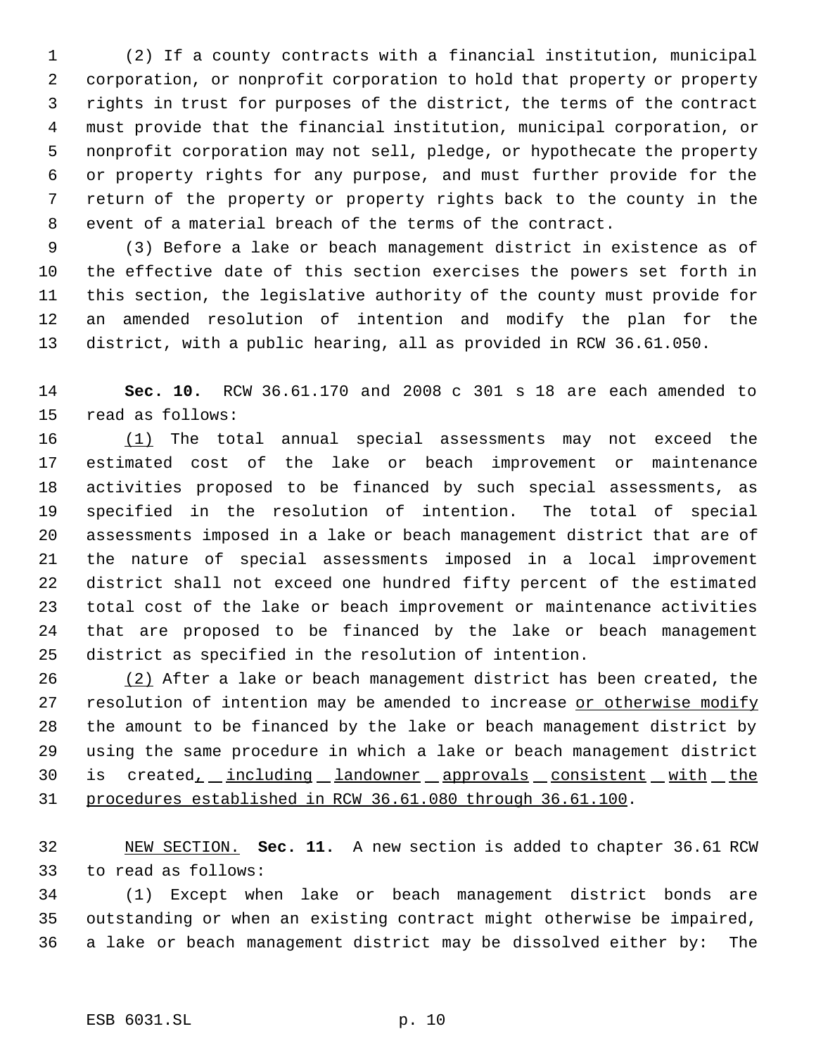(2) If a county contracts with a financial institution, municipal corporation, or nonprofit corporation to hold that property or property rights in trust for purposes of the district, the terms of the contract must provide that the financial institution, municipal corporation, or nonprofit corporation may not sell, pledge, or hypothecate the property or property rights for any purpose, and must further provide for the return of the property or property rights back to the county in the event of a material breach of the terms of the contract.

 (3) Before a lake or beach management district in existence as of the effective date of this section exercises the powers set forth in this section, the legislative authority of the county must provide for an amended resolution of intention and modify the plan for the district, with a public hearing, all as provided in RCW 36.61.050.

 **Sec. 10.** RCW 36.61.170 and 2008 c 301 s 18 are each amended to read as follows:

16 (1) The total annual special assessments may not exceed the estimated cost of the lake or beach improvement or maintenance activities proposed to be financed by such special assessments, as specified in the resolution of intention. The total of special assessments imposed in a lake or beach management district that are of the nature of special assessments imposed in a local improvement district shall not exceed one hundred fifty percent of the estimated total cost of the lake or beach improvement or maintenance activities that are proposed to be financed by the lake or beach management district as specified in the resolution of intention.

26 (2) After a lake or beach management district has been created, the 27 resolution of intention may be amended to increase or otherwise modify the amount to be financed by the lake or beach management district by using the same procedure in which a lake or beach management district 30 is created, including landowner approvals consistent with the procedures established in RCW 36.61.080 through 36.61.100.

 NEW SECTION. **Sec. 11.** A new section is added to chapter 36.61 RCW to read as follows:

 (1) Except when lake or beach management district bonds are outstanding or when an existing contract might otherwise be impaired, a lake or beach management district may be dissolved either by: The